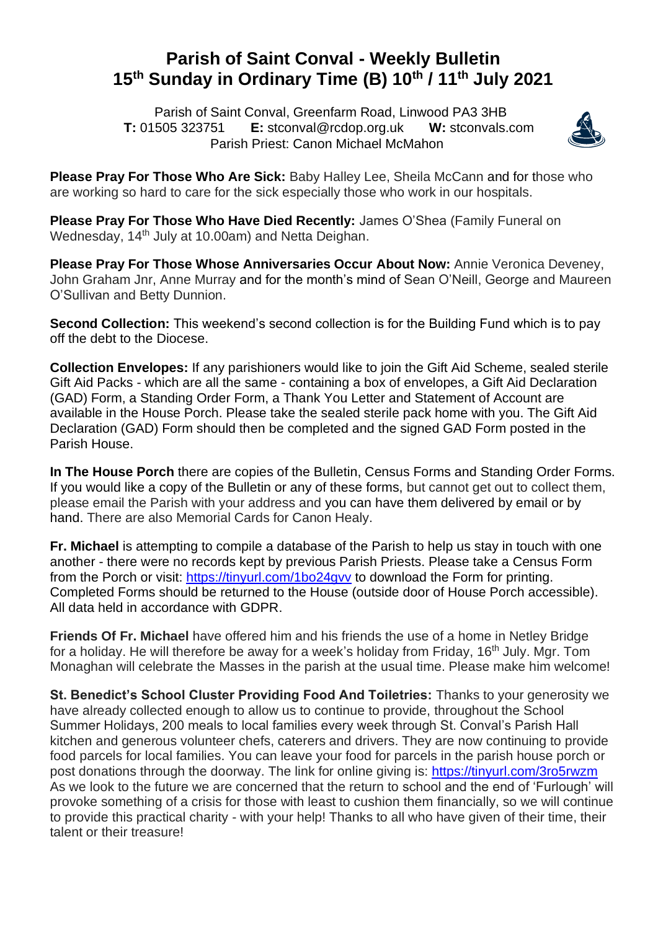## **Parish of Saint Conval - Weekly Bulletin 15 th Sunday in Ordinary Time (B) 10th / 11th July 2021**

 Parish of Saint Conval, Greenfarm Road, Linwood PA3 3HB **T:** 01505 323751 **E:** [stconval@rcdop.org.uk](mailto:stconval@rcdop.org.uk) **W:** stconvals.com Parish Priest: Canon Michael McMahon



**Please Pray For Those Who Are Sick:** Baby Halley Lee, Sheila McCann and for those who are working so hard to care for the sick especially those who work in our hospitals.

**Please Pray For Those Who Have Died Recently:** James O'Shea (Family Funeral on Wednesday, 14<sup>th</sup> July at 10.00am) and Netta Deighan.

**Please Pray For Those Whose Anniversaries Occur About Now:** Annie Veronica Deveney, John Graham Jnr, Anne Murray and for the month's mind of Sean O'Neill, George and Maureen O'Sullivan and Betty Dunnion.

**Second Collection:** This weekend's second collection is for the Building Fund which is to pay off the debt to the Diocese.

**Collection Envelopes:** If any parishioners would like to join the Gift Aid Scheme, sealed sterile Gift Aid Packs - which are all the same - containing a box of envelopes, a Gift Aid Declaration (GAD) Form, a Standing Order Form, a Thank You Letter and Statement of Account are available in the House Porch. Please take the sealed sterile pack home with you. The Gift Aid Declaration (GAD) Form should then be completed and the signed GAD Form posted in the Parish House.

**In The House Porch** there are copies of the Bulletin, Census Forms and Standing Order Forms. If you would like a copy of the Bulletin or any of these forms, but cannot get out to collect them, please email the Parish with your address and you can have them delivered by email or by hand. There are also Memorial Cards for Canon Healy.

**Fr. Michael** is attempting to compile a database of the Parish to help us stay in touch with one another - there were no records kept by previous Parish Priests. Please take a Census Form from the Porch or visit:<https://tinyurl.com/1bo24gvv> to download the Form for printing. Completed Forms should be returned to the House (outside door of House Porch accessible). All data held in accordance with GDPR.

**Friends Of Fr. Michael** have offered him and his friends the use of a home in Netley Bridge for a holiday. He will therefore be away for a week's holiday from Friday, 16<sup>th</sup> July. Mgr. Tom Monaghan will celebrate the Masses in the parish at the usual time. Please make him welcome!

**St. Benedict's School Cluster Providing Food And Toiletries:** Thanks to your generosity we have already collected enough to allow us to continue to provide, throughout the School Summer Holidays, 200 meals to local families every week through St. Conval's Parish Hall kitchen and generous volunteer chefs, caterers and drivers. They are now continuing to provide food parcels for local families. You can leave your food for parcels in the parish house porch or post donations through the doorway. The link for online giving is: https://tinyurl.com/3ro5rwzm As we look to the future we are concerned that the return to school and the end of 'Furlough' will provoke something of a crisis for those with least to cushion them financially, so we will continue to provide this practical charity - with your help! Thanks to all who have given of their time, their talent or their treasure!